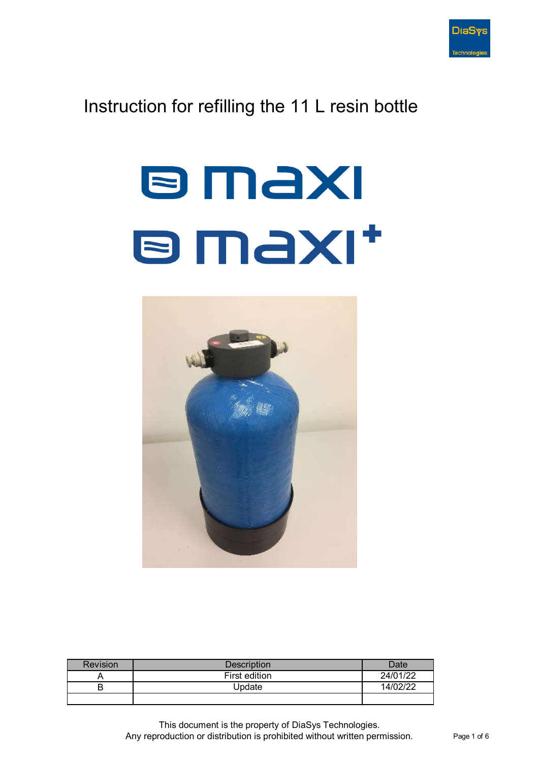

## Instruction for refilling the 11 L resin bottle

## **B MAXI B MAXI\***



| <b>Revision</b> | Description   | Date     |
|-----------------|---------------|----------|
| ᄼ               | First edition | 24/01/22 |
| D               | Update        | 14/02/22 |
|                 |               |          |

This document is the property of DiaSys Technologies. Any reproduction or distribution is prohibited without written permission. Page 1 of 6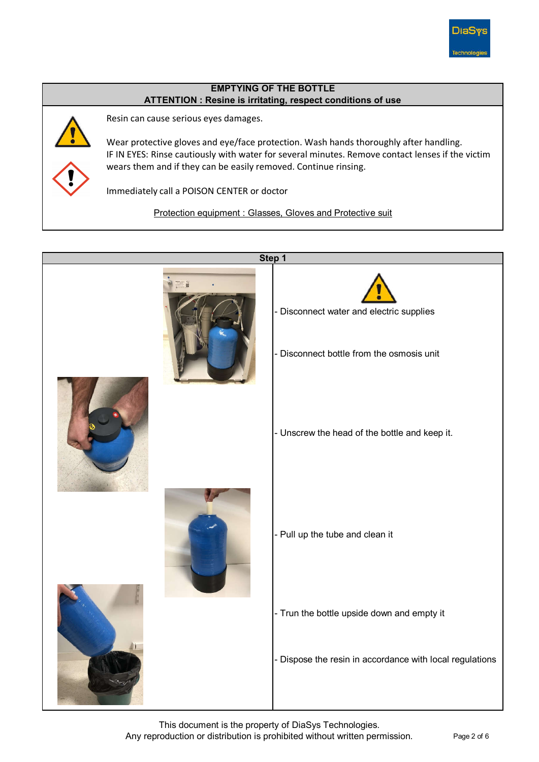

## ATTENTION : Resine is irritating, respect conditions of use EMPTYING OF THE BOTTLE



Resin can cause serious eyes damages.

Wear protective gloves and eye/face protection. Wash hands thoroughly after handling. IF IN EYES: Rinse cautiously with water for several minutes. Remove contact lenses if the victim wears them and if they can be easily removed. Continue rinsing.

Immediately call a POISON CENTER or doctor

Protection equipment : Glasses, Gloves and Protective suit



This document is the property of DiaSys Technologies. Any reproduction or distribution is prohibited without written permission. Page 2 of 6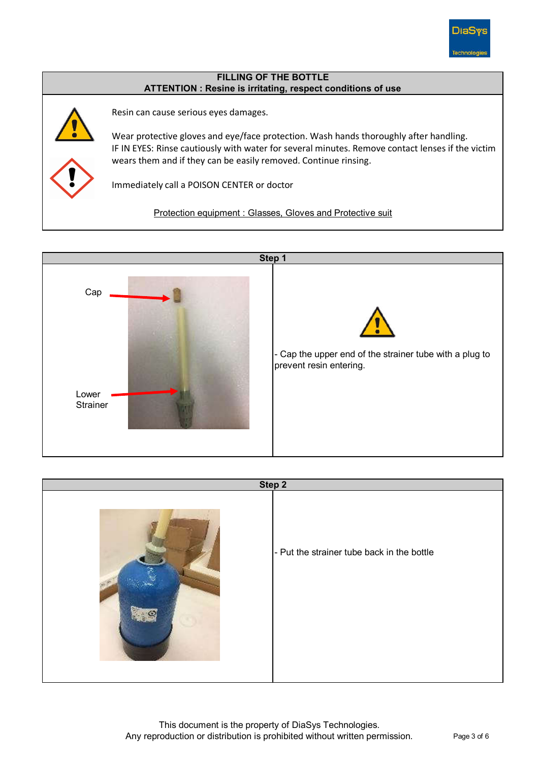

## ATTENTION : Resine is irritating, respect conditions of use FILLING OF THE BOTTLE



Resin can cause serious eyes damages.

Wear protective gloves and eye/face protection. Wash hands thoroughly after handling. IF IN EYES: Rinse cautiously with water for several minutes. Remove contact lenses if the victim wears them and if they can be easily removed. Continue rinsing.

Immediately call a POISON CENTER or doctor

Protection equipment : Glasses, Gloves and Protective suit



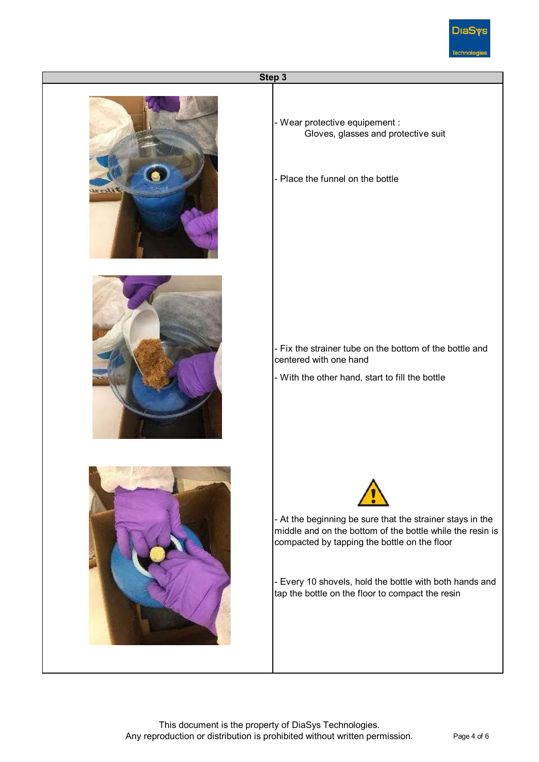

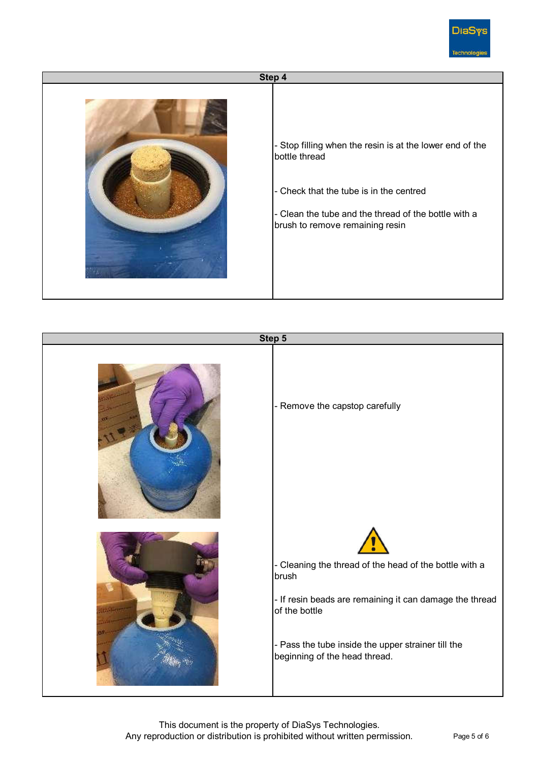

- Check that the tube is in the centred Step 4 - Stop filling when the resin is at the lower end of the bottle thread - Clean the tube and the thread of the bottle with a brush to remove remaining resin



This document is the property of DiaSys Technologies. Any reproduction or distribution is prohibited without written permission. Page 5 of 6